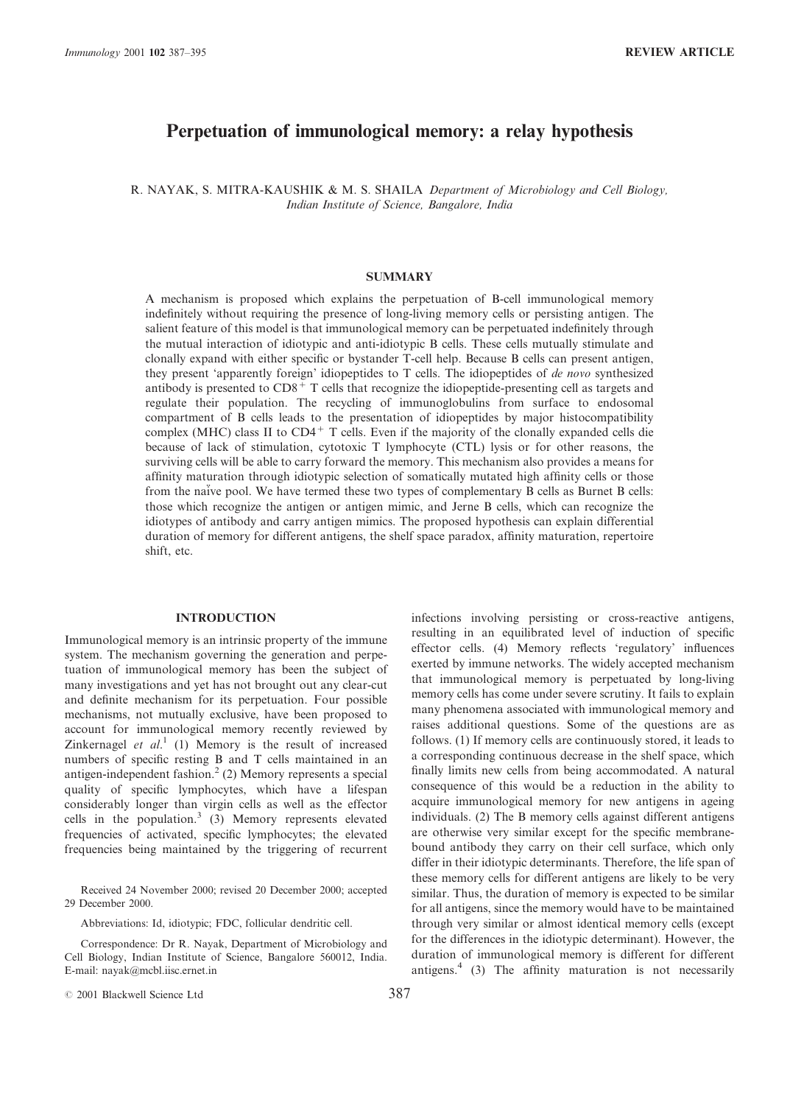# Perpetuation of immunological memory: a relay hypothesis

R. NAYAK, S. MITRA-KAUSHIK & M. S. SHAILA Department of Microbiology and Cell Biology, Indian Institute of Science, Bangalore, India

### **SUMMARY**

A mechanism is proposed which explains the perpetuation of B-cell immunological memory indefinitely without requiring the presence of long-living memory cells or persisting antigen. The salient feature of this model is that immunological memory can be perpetuated indefinitely through the mutual interaction of idiotypic and anti-idiotypic B cells. These cells mutually stimulate and clonally expand with either specific or bystander T-cell help. Because B cells can present antigen, they present 'apparently foreign' idiopeptides to  $T$  cells. The idiopeptides of de novo synthesized antibody is presented to  $CD8<sup>+</sup>$  T cells that recognize the idiopeptide-presenting cell as targets and regulate their population. The recycling of immunoglobulins from surface to endosomal compartment of B cells leads to the presentation of idiopeptides by major histocompatibility complex (MHC) class II to  $CD4^+$  T cells. Even if the majority of the clonally expanded cells die because of lack of stimulation, cytotoxic T lymphocyte (CTL) lysis or for other reasons, the surviving cells will be able to carry forward the memory. This mechanism also provides a means for affinity maturation through idiotypic selection of somatically mutated high affinity cells or those from the naive pool. We have termed these two types of complementary B cells as Burnet B cells: those which recognize the antigen or antigen mimic, and Jerne B cells, which can recognize the idiotypes of antibody and carry antigen mimics. The proposed hypothesis can explain differential duration of memory for different antigens, the shelf space paradox, affinity maturation, repertoire shift, etc.

### INTRODUCTION

Immunological memory is an intrinsic property of the immune system. The mechanism governing the generation and perpetuation of immunological memory has been the subject of many investigations and yet has not brought out any clear-cut and definite mechanism for its perpetuation. Four possible mechanisms, not mutually exclusive, have been proposed to account for immunological memory recently reviewed by Zinkernagel et  $al$ <sup>1</sup> (1) Memory is the result of increased numbers of specific resting B and T cells maintained in an antigen-independent fashion.<sup>2</sup> (2) Memory represents a special quality of specific lymphocytes, which have a lifespan considerably longer than virgin cells as well as the effector cells in the population.<sup>3</sup> (3) Memory represents elevated frequencies of activated, specific lymphocytes; the elevated frequencies being maintained by the triggering of recurrent

Received 24 November 2000; revised 20 December 2000; accepted 29 December 2000.

Abbreviations: Id, idiotypic; FDC, follicular dendritic cell.

Correspondence: Dr R. Nayak, Department of Microbiology and Cell Biology, Indian Institute of Science, Bangalore 560012, India. E-mail: nayak@mcbl.iisc.ernet.in

# 2001 Blackwell Science Ltd 387

infections involving persisting or cross-reactive antigens, resulting in an equilibrated level of induction of specific effector cells. (4) Memory reflects 'regulatory' influences exerted by immune networks. The widely accepted mechanism that immunological memory is perpetuated by long-living memory cells has come under severe scrutiny. It fails to explain many phenomena associated with immunological memory and raises additional questions. Some of the questions are as follows. (1) If memory cells are continuously stored, it leads to a corresponding continuous decrease in the shelf space, which finally limits new cells from being accommodated. A natural consequence of this would be a reduction in the ability to acquire immunological memory for new antigens in ageing individuals. (2) The B memory cells against different antigens are otherwise very similar except for the specific membranebound antibody they carry on their cell surface, which only differ in their idiotypic determinants. Therefore, the life span of these memory cells for different antigens are likely to be very similar. Thus, the duration of memory is expected to be similar for all antigens, since the memory would have to be maintained through very similar or almost identical memory cells (except for the differences in the idiotypic determinant). However, the duration of immunological memory is different for different antigens.<sup>4</sup> (3) The affinity maturation is not necessarily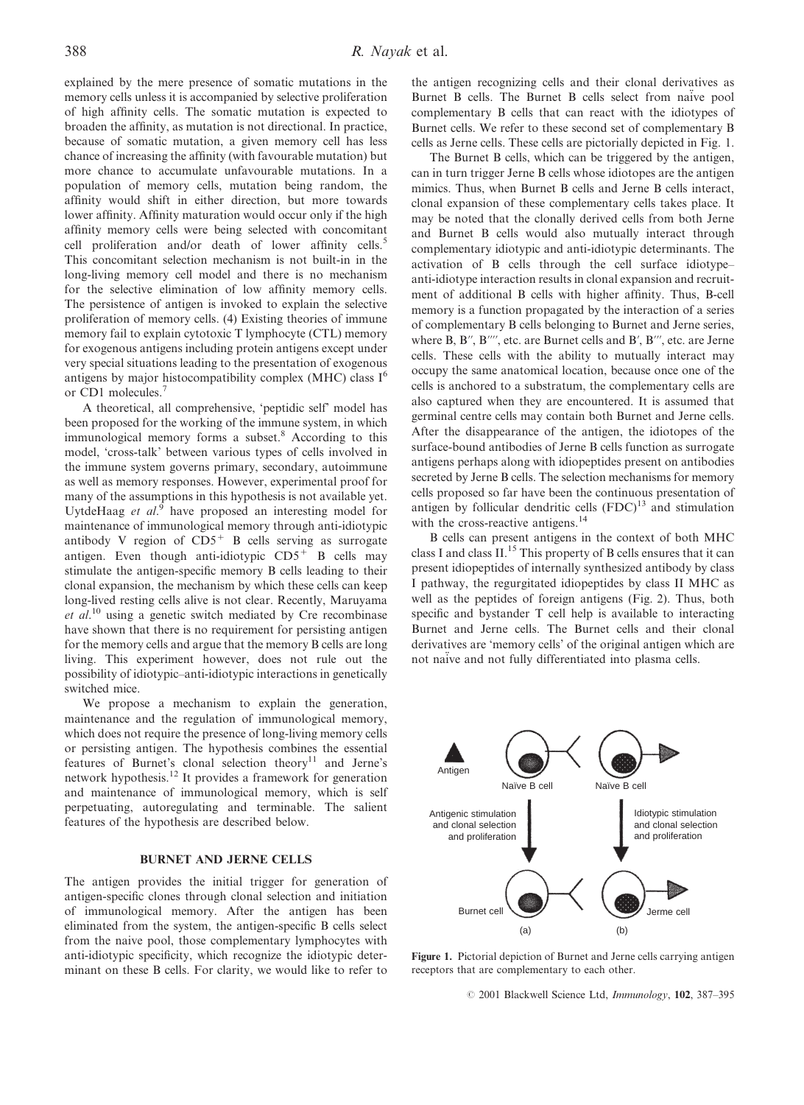explained by the mere presence of somatic mutations in the memory cells unless it is accompanied by selective proliferation of high affinity cells. The somatic mutation is expected to broaden the affinity, as mutation is not directional. In practice, because of somatic mutation, a given memory cell has less chance of increasing the affinity (with favourable mutation) but more chance to accumulate unfavourable mutations. In a population of memory cells, mutation being random, the affinity would shift in either direction, but more towards lower affinity. Affinity maturation would occur only if the high affinity memory cells were being selected with concomitant cell proliferation and/or death of lower affinity cells.<sup>5</sup> This concomitant selection mechanism is not built-in in the long-living memory cell model and there is no mechanism for the selective elimination of low affinity memory cells. The persistence of antigen is invoked to explain the selective proliferation of memory cells. (4) Existing theories of immune memory fail to explain cytotoxic T lymphocyte (CTL) memory for exogenous antigens including protein antigens except under very special situations leading to the presentation of exogenous antigens by major histocompatibility complex (MHC) class I<sup>6</sup> or CD1 molecules.<sup>7</sup>

A theoretical, all comprehensive, `peptidic self' model has been proposed for the working of the immune system, in which immunological memory forms a subset. $8$  According to this model, 'cross-talk' between various types of cells involved in the immune system governs primary, secondary, autoimmune as well as memory responses. However, experimental proof for many of the assumptions in this hypothesis is not available yet. UytdeHaag et al.<sup>9</sup> have proposed an interesting model for maintenance of immunological memory through anti-idiotypic antibody V region of  $CD5<sup>+</sup>$  B cells serving as surrogate antigen. Even though anti-idiotypic  $CD5<sup>+</sup>$  B cells may stimulate the antigen-specific memory B cells leading to their clonal expansion, the mechanism by which these cells can keep long-lived resting cells alive is not clear. Recently, Maruyama et  $al$ <sup>10</sup> using a genetic switch mediated by Cre recombinase have shown that there is no requirement for persisting antigen for the memory cells and argue that the memory B cells are long living. This experiment however, does not rule out the possibility of idiotypic-anti-idiotypic interactions in genetically switched mice.

We propose a mechanism to explain the generation, maintenance and the regulation of immunological memory, which does not require the presence of long-living memory cells or persisting antigen. The hypothesis combines the essential features of Burnet's clonal selection theory<sup>11</sup> and Jerne's network hypothesis.<sup>12</sup> It provides a framework for generation and maintenance of immunological memory, which is self perpetuating, autoregulating and terminable. The salient features of the hypothesis are described below.

# BURNET AND JERNE CELLS

The antigen provides the initial trigger for generation of antigen-specific clones through clonal selection and initiation of immunological memory. After the antigen has been eliminated from the system, the antigen-specific B cells select from the naive pool, those complementary lymphocytes with anti-idiotypic specificity, which recognize the idiotypic determinant on these B cells. For clarity, we would like to refer to

the antigen recognizing cells and their clonal derivatives as Burnet B cells. The Burnet B cells select from naive pool complementary B cells that can react with the idiotypes of Burnet cells. We refer to these second set of complementary B cells as Jerne cells. These cells are pictorially depicted in Fig. 1.

The Burnet B cells, which can be triggered by the antigen, can in turn trigger Jerne B cells whose idiotopes are the antigen mimics. Thus, when Burnet B cells and Jerne B cells interact, clonal expansion of these complementary cells takes place. It may be noted that the clonally derived cells from both Jerne and Burnet B cells would also mutually interact through complementary idiotypic and anti-idiotypic determinants. The activation of B cells through the cell surface idiotypeanti-idiotype interaction results in clonal expansion and recruitment of additional B cells with higher affinity. Thus, B-cell memory is a function propagated by the interaction of a series of complementary B cells belonging to Burnet and Jerne series, where B, B", B"", etc. are Burnet cells and B', B"', etc. are Jerne cells. These cells with the ability to mutually interact may occupy the same anatomical location, because once one of the cells is anchored to a substratum, the complementary cells are also captured when they are encountered. It is assumed that germinal centre cells may contain both Burnet and Jerne cells. After the disappearance of the antigen, the idiotopes of the surface-bound antibodies of Jerne B cells function as surrogate antigens perhaps along with idiopeptides present on antibodies secreted by Jerne B cells. The selection mechanisms for memory cells proposed so far have been the continuous presentation of antigen by follicular dendritic cells  $(FDC)^{13}$  and stimulation with the cross-reactive antigens.<sup>14</sup>

B cells can present antigens in the context of both MHC class I and class II.<sup>15</sup> This property of B cells ensures that it can present idiopeptides of internally synthesized antibody by class I pathway, the regurgitated idiopeptides by class II MHC as well as the peptides of foreign antigens (Fig. 2). Thus, both specific and bystander T cell help is available to interacting Burnet and Jerne cells. The Burnet cells and their clonal derivatives are `memory cells' of the original antigen which are not naive and not fully differentiated into plasma cells.



Figure 1. Pictorial depiction of Burnet and Jerne cells carrying antigen receptors that are complementary to each other.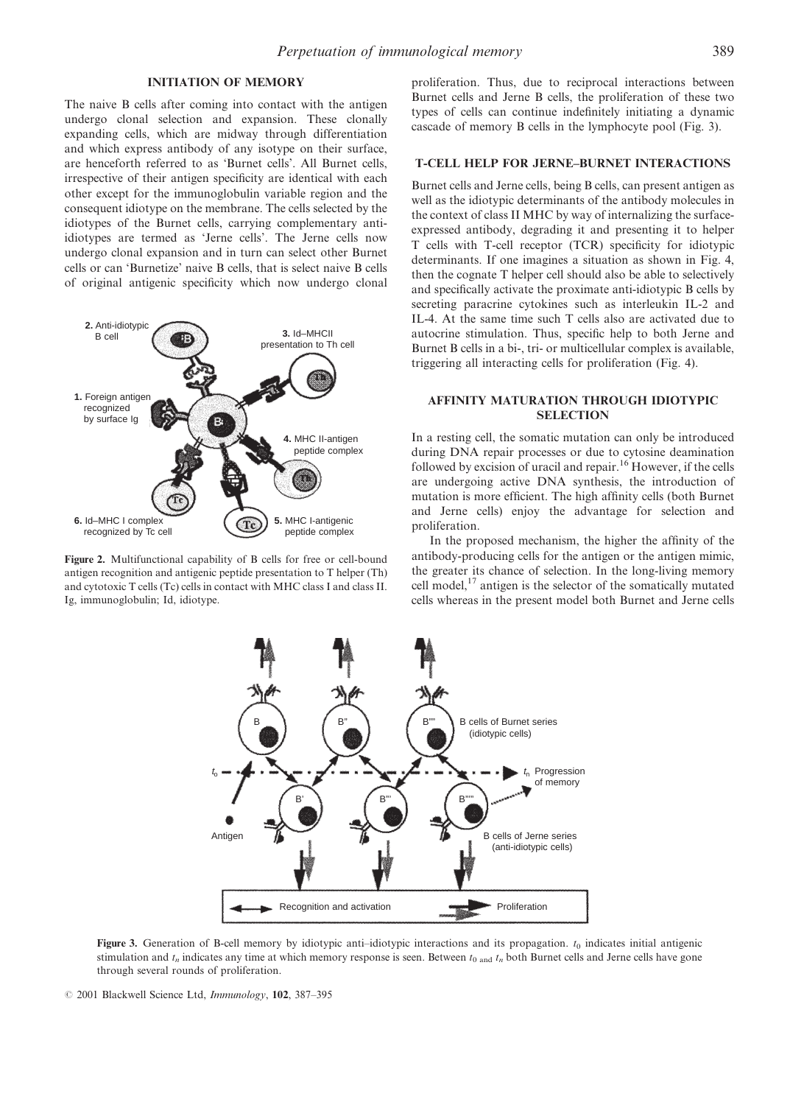# INITIATION OF MEMORY

The naive B cells after coming into contact with the antigen undergo clonal selection and expansion. These clonally expanding cells, which are midway through differentiation and which express antibody of any isotype on their surface, are henceforth referred to as 'Burnet cells'. All Burnet cells, irrespective of their antigen specificity are identical with each other except for the immunoglobulin variable region and the consequent idiotype on the membrane. The cells selected by the idiotypes of the Burnet cells, carrying complementary antiidiotypes are termed as `Jerne cells'. The Jerne cells now undergo clonal expansion and in turn can select other Burnet cells or can `Burnetize' naive B cells, that is select naive B cells of original antigenic specificity which now undergo clonal



Figure 2. Multifunctional capability of B cells for free or cell-bound antigen recognition and antigenic peptide presentation to T helper (Th) and cytotoxic T cells (Tc) cells in contact with MHC class I and class II. Ig, immunoglobulin; Id, idiotype.

proliferation. Thus, due to reciprocal interactions between Burnet cells and Jerne B cells, the proliferation of these two types of cells can continue indefinitely initiating a dynamic cascade of memory B cells in the lymphocyte pool (Fig. 3).

# T-CELL HELP FOR JERNE-BURNET INTERACTIONS

Burnet cells and Jerne cells, being B cells, can present antigen as well as the idiotypic determinants of the antibody molecules in the context of class II MHC by way of internalizing the surfaceexpressed antibody, degrading it and presenting it to helper T cells with T-cell receptor (TCR) specificity for idiotypic determinants. If one imagines a situation as shown in Fig. 4, then the cognate T helper cell should also be able to selectively and specifically activate the proximate anti-idiotypic B cells by secreting paracrine cytokines such as interleukin IL-2 and IL-4. At the same time such T cells also are activated due to autocrine stimulation. Thus, specific help to both Jerne and Burnet B cells in a bi-, tri- or multicellular complex is available, triggering all interacting cells for proliferation (Fig. 4).

# AFFINITY MATURATION THROUGH IDIOTYPIC **SELECTION**

In a resting cell, the somatic mutation can only be introduced during DNA repair processes or due to cytosine deamination followed by excision of uracil and repair.<sup>16</sup> However, if the cells are undergoing active DNA synthesis, the introduction of mutation is more efficient. The high affinity cells (both Burnet and Jerne cells) enjoy the advantage for selection and proliferation.

In the proposed mechanism, the higher the affinity of the antibody-producing cells for the antigen or the antigen mimic, the greater its chance of selection. In the long-living memory cell model, $^{17}$  antigen is the selector of the somatically mutated cells whereas in the present model both Burnet and Jerne cells



**Figure 3.** Generation of B-cell memory by idiotypic anti-idiotypic interactions and its propagation.  $t_0$  indicates initial antigenic stimulation and  $t_n$  indicates any time at which memory response is seen. Between  $t_0$  and  $t_n$  both Burnet cells and Jerne cells have gone through several rounds of proliferation.

 $© 2001 Blackwell Science Ltd, Immunology, 102, 387–395$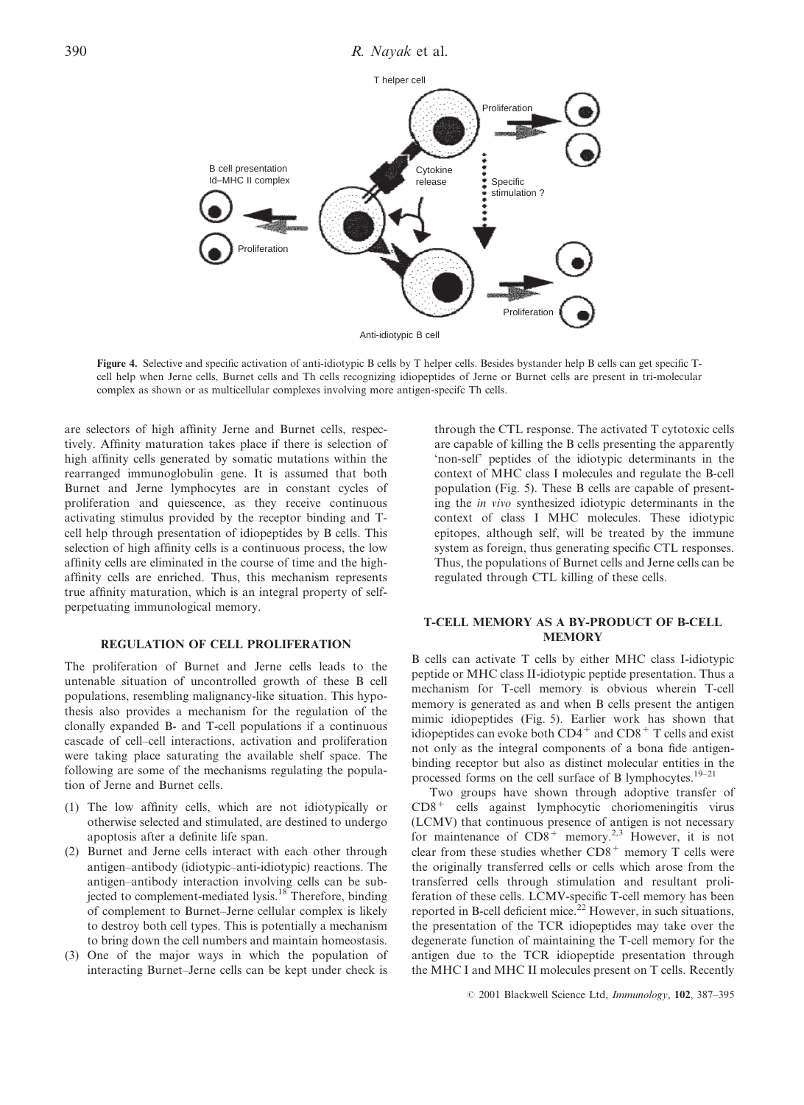

Figure 4. Selective and specific activation of anti-idiotypic B cells by T helper cells. Besides bystander help B cells can get specific Tcell help when Jerne cells, Burnet cells and Th cells recognizing idiopeptides of Jerne or Burnet cells are present in tri-molecular complex as shown or as multicellular complexes involving more antigen-specifc Th cells.

are selectors of high affinity Jerne and Burnet cells, respectively. Affinity maturation takes place if there is selection of high affinity cells generated by somatic mutations within the rearranged immunoglobulin gene. It is assumed that both Burnet and Jerne lymphocytes are in constant cycles of proliferation and quiescence, as they receive continuous activating stimulus provided by the receptor binding and Tcell help through presentation of idiopeptides by B cells. This selection of high affinity cells is a continuous process, the low affinity cells are eliminated in the course of time and the highaffinity cells are enriched. Thus, this mechanism represents true affinity maturation, which is an integral property of selfperpetuating immunological memory.

# REGULATION OF CELL PROLIFERATION

The proliferation of Burnet and Jerne cells leads to the untenable situation of uncontrolled growth of these B cell populations, resembling malignancy-like situation. This hypothesis also provides a mechanism for the regulation of the clonally expanded B- and T-cell populations if a continuous cascade of cell-cell interactions, activation and proliferation were taking place saturating the available shelf space. The following are some of the mechanisms regulating the population of Jerne and Burnet cells.

- $(1)$  The low affinity cells, which are not idiotypically or otherwise selected and stimulated, are destined to undergo apoptosis after a definite life span.
- (2) Burnet and Jerne cells interact with each other through antigen-antibody (idiotypic-anti-idiotypic) reactions. The antigen-antibody interaction involving cells can be subjected to complement-mediated lysis.<sup>18</sup> Therefore, binding of complement to Burnet-Jerne cellular complex is likely to destroy both cell types. This is potentially a mechanism to bring down the cell numbers and maintain homeostasis.
- (3) One of the major ways in which the population of interacting Burnet-Jerne cells can be kept under check is

through the CTL response. The activated T cytotoxic cells are capable of killing the B cells presenting the apparently `non-self' peptides of the idiotypic determinants in the context of MHC class I molecules and regulate the B-cell population (Fig. 5). These B cells are capable of presenting the in vivo synthesized idiotypic determinants in the context of class I MHC molecules. These idiotypic epitopes, although self, will be treated by the immune system as foreign, thus generating specific CTL responses. Thus, the populations of Burnet cells and Jerne cells can be regulated through CTL killing of these cells.

### T-CELL MEMORY AS A BY-PRODUCT OF B-CELL **MEMORY**

B cells can activate T cells by either MHC class I-idiotypic peptide or MHC class II-idiotypic peptide presentation. Thus a mechanism for T-cell memory is obvious wherein T-cell memory is generated as and when B cells present the antigen mimic idiopeptides (Fig. 5). Earlier work has shown that idiopeptides can evoke both  $CD4^+$  and  $CD8^+$  T cells and exist not only as the integral components of a bona fide antigenbinding receptor but also as distinct molecular entities in the processed forms on the cell surface of B lymphocytes.<sup>19-21</sup>

Two groups have shown through adoptive transfer of  $CD8<sup>+</sup>$  cells against lymphocytic choriomeningitis virus (LCMV) that continuous presence of antigen is not necessary for maintenance of  $CD8^+$  memory.<sup>2,3</sup> However, it is not clear from these studies whether  $CD8^+$  memory T cells were the originally transferred cells or cells which arose from the transferred cells through stimulation and resultant proliferation of these cells. LCMV-specific T-cell memory has been reported in B-cell deficient mice.<sup>22</sup> However, in such situations, the presentation of the TCR idiopeptides may take over the degenerate function of maintaining the T-cell memory for the antigen due to the TCR idiopeptide presentation through the MHC I and MHC II molecules present on T cells. Recently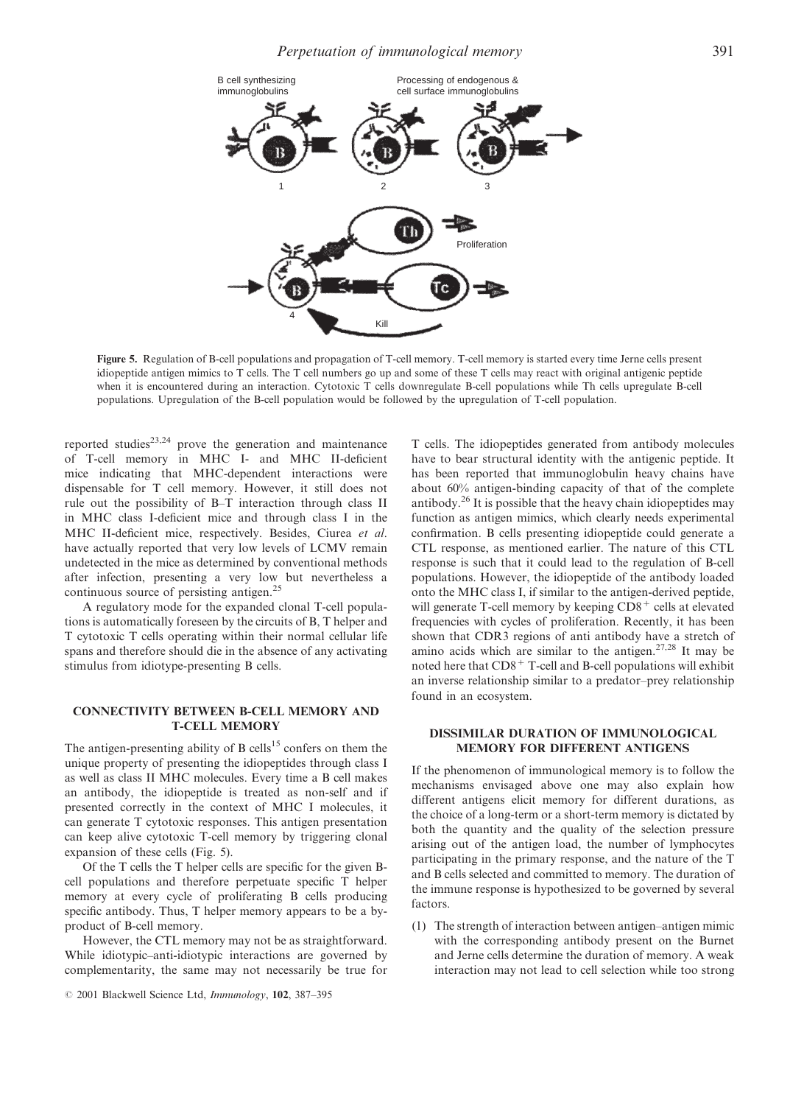

Figure 5. Regulation of B-cell populations and propagation of T-cell memory. T-cell memory is started every time Jerne cells present idiopeptide antigen mimics to T cells. The T cell numbers go up and some of these T cells may react with original antigenic peptide when it is encountered during an interaction. Cytotoxic T cells downregulate B-cell populations while Th cells upregulate B-cell populations. Upregulation of the B-cell population would be followed by the upregulation of T-cell population.

reported studies $^{23,24}$  prove the generation and maintenance of T-cell memory in MHC I- and MHC II-deficient mice indicating that MHC-dependent interactions were dispensable for T cell memory. However, it still does not rule out the possibility of B-T interaction through class II in MHC class I-deficient mice and through class I in the MHC II-deficient mice, respectively. Besides, Ciurea et al. have actually reported that very low levels of LCMV remain undetected in the mice as determined by conventional methods after infection, presenting a very low but nevertheless a continuous source of persisting antigen.<sup>25</sup>

A regulatory mode for the expanded clonal T-cell populations is automatically foreseen by the circuits of B, T helper and T cytotoxic T cells operating within their normal cellular life spans and therefore should die in the absence of any activating stimulus from idiotype-presenting B cells.

# CONNECTIVITY BETWEEN B-CELL MEMORY AND T-CELL MEMORY

The antigen-presenting ability of B cells<sup>15</sup> confers on them the unique property of presenting the idiopeptides through class I as well as class II MHC molecules. Every time a B cell makes an antibody, the idiopeptide is treated as non-self and if presented correctly in the context of MHC I molecules, it can generate T cytotoxic responses. This antigen presentation can keep alive cytotoxic T-cell memory by triggering clonal expansion of these cells (Fig. 5).

Of the  $T$  cells the  $T$  helper cells are specific for the given Bcell populations and therefore perpetuate specific T helper memory at every cycle of proliferating B cells producing specific antibody. Thus, T helper memory appears to be a byproduct of B-cell memory.

However, the CTL memory may not be as straightforward. While idiotypic-anti-idiotypic interactions are governed by complementarity, the same may not necessarily be true for

 $© 2001 Blackwell Science Ltd, Immunology, 102, 387–395$ 

T cells. The idiopeptides generated from antibody molecules have to bear structural identity with the antigenic peptide. It has been reported that immunoglobulin heavy chains have about 60% antigen-binding capacity of that of the complete antibody.<sup>26</sup> It is possible that the heavy chain idiopeptides may function as antigen mimics, which clearly needs experimental confirmation. B cells presenting idiopeptide could generate a CTL response, as mentioned earlier. The nature of this CTL response is such that it could lead to the regulation of B-cell populations. However, the idiopeptide of the antibody loaded onto the MHC class I, if similar to the antigen-derived peptide, will generate T-cell memory by keeping  $CD8<sup>+</sup>$  cells at elevated frequencies with cycles of proliferation. Recently, it has been shown that CDR3 regions of anti antibody have a stretch of amino acids which are similar to the antigen.27,28 It may be noted here that  $CD8<sup>+</sup>$  T-cell and B-cell populations will exhibit an inverse relationship similar to a predator-prey relationship found in an ecosystem.

# DISSIMILAR DURATION OF IMMUNOLOGICAL MEMORY FOR DIFFERENT ANTIGENS

If the phenomenon of immunological memory is to follow the mechanisms envisaged above one may also explain how different antigens elicit memory for different durations, as the choice of a long-term or a short-term memory is dictated by both the quantity and the quality of the selection pressure arising out of the antigen load, the number of lymphocytes participating in the primary response, and the nature of the T and B cells selected and committed to memory. The duration of the immune response is hypothesized to be governed by several factors.

 $(1)$  The strength of interaction between antigen-antigen mimic with the corresponding antibody present on the Burnet and Jerne cells determine the duration of memory. A weak interaction may not lead to cell selection while too strong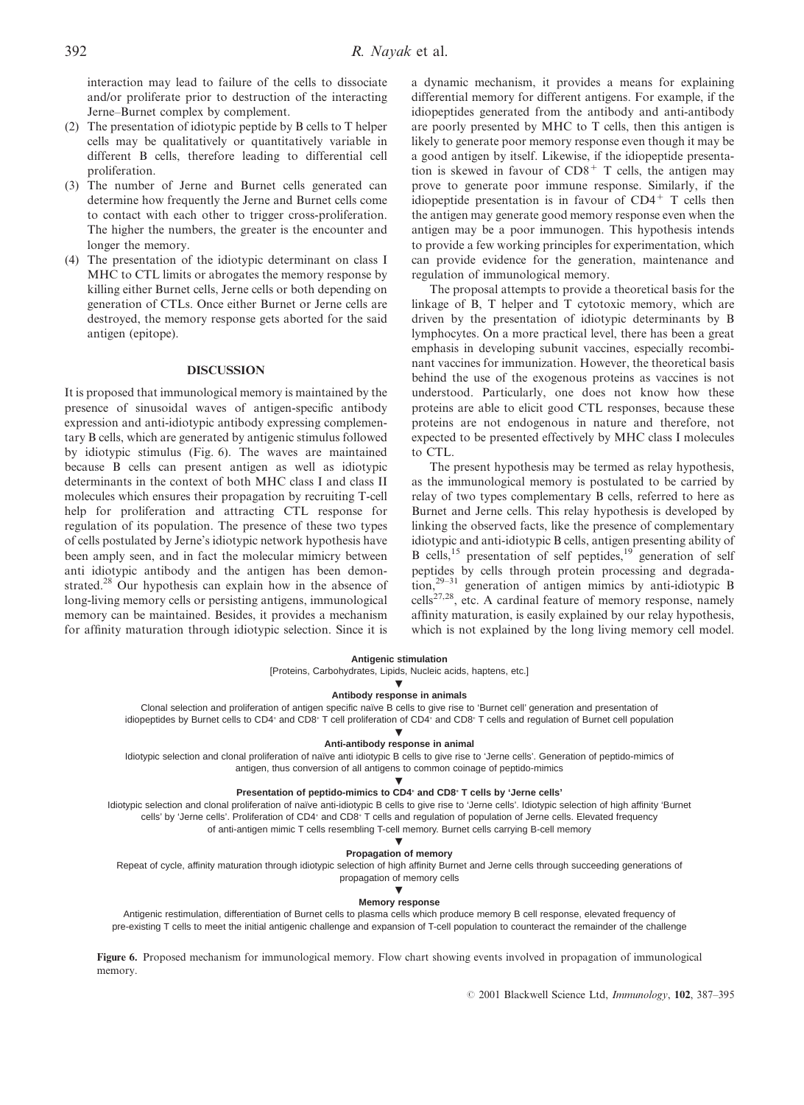interaction may lead to failure of the cells to dissociate and/or proliferate prior to destruction of the interacting Jerne-Burnet complex by complement.

- (2) The presentation of idiotypic peptide by B cells to T helper cells may be qualitatively or quantitatively variable in different B cells, therefore leading to differential cell proliferation.
- (3) The number of Jerne and Burnet cells generated can determine how frequently the Jerne and Burnet cells come to contact with each other to trigger cross-proliferation. The higher the numbers, the greater is the encounter and longer the memory.
- (4) The presentation of the idiotypic determinant on class I MHC to CTL limits or abrogates the memory response by killing either Burnet cells, Jerne cells or both depending on generation of CTLs. Once either Burnet or Jerne cells are destroyed, the memory response gets aborted for the said antigen (epitope).

### DISCUSSION

It is proposed that immunological memory is maintained by the presence of sinusoidal waves of antigen-specific antibody expression and anti-idiotypic antibody expressing complementary B cells, which are generated by antigenic stimulus followed by idiotypic stimulus (Fig. 6). The waves are maintained because B cells can present antigen as well as idiotypic determinants in the context of both MHC class I and class II molecules which ensures their propagation by recruiting T-cell help for proliferation and attracting CTL response for regulation of its population. The presence of these two types of cells postulated by Jerne's idiotypic network hypothesis have been amply seen, and in fact the molecular mimicry between anti idiotypic antibody and the antigen has been demonstrated.<sup>28</sup> Our hypothesis can explain how in the absence of long-living memory cells or persisting antigens, immunological memory can be maintained. Besides, it provides a mechanism for affinity maturation through idiotypic selection. Since it is

a dynamic mechanism, it provides a means for explaining differential memory for different antigens. For example, if the idiopeptides generated from the antibody and anti-antibody are poorly presented by MHC to T cells, then this antigen is likely to generate poor memory response even though it may be a good antigen by itself. Likewise, if the idiopeptide presentation is skewed in favour of  $CD8<sup>+</sup>$  T cells, the antigen may prove to generate poor immune response. Similarly, if the idiopeptide presentation is in favour of  $CD4^+$  T cells then the antigen may generate good memory response even when the antigen may be a poor immunogen. This hypothesis intends to provide a few working principles for experimentation, which can provide evidence for the generation, maintenance and regulation of immunological memory.

The proposal attempts to provide a theoretical basis for the linkage of B, T helper and T cytotoxic memory, which are driven by the presentation of idiotypic determinants by B lymphocytes. On a more practical level, there has been a great emphasis in developing subunit vaccines, especially recombinant vaccines for immunization. However, the theoretical basis behind the use of the exogenous proteins as vaccines is not understood. Particularly, one does not know how these proteins are able to elicit good CTL responses, because these proteins are not endogenous in nature and therefore, not expected to be presented effectively by MHC class I molecules to CTL.

The present hypothesis may be termed as relay hypothesis, as the immunological memory is postulated to be carried by relay of two types complementary B cells, referred to here as Burnet and Jerne cells. This relay hypothesis is developed by linking the observed facts, like the presence of complementary idiotypic and anti-idiotypic B cells, antigen presenting ability of  $B$  cells,<sup>15</sup> presentation of self peptides,<sup>19</sup> generation of self peptides by cells through protein processing and degrada $t_1$ <sup>29-31</sup> generation of antigen mimics by anti-idiotypic B  $\text{cells}^{27,28}$ , etc. A cardinal feature of memory response, namely affinity maturation, is easily explained by our relay hypothesis. which is not explained by the long living memory cell model.

# **Antigenic stimulation**

[Proteins, Carbohydrates, Lipids, Nucleic acids, haptens, etc.]

#### ▼ **Antibody response in animals**

Clonal selection and proliferation of antigen specific naïve B cells to give rise to 'Burnet cell' generation and presentation of idiopeptides by Burnet cells to CD4+ and CD8+ T cell proliferation of CD4+ and CD8+ T cells and regulation of Burnet cell population

#### ▼ **Anti-antibody response in animal**

Idiotypic selection and clonal proliferation of naïve anti idiotypic B cells to give rise to 'Jerne cells'. Generation of peptido-mimics of antigen, thus conversion of all antigens to common coinage of peptido-mimics

### ▼

#### **Presentation of peptido-mimics to CD4+ and CD8+ T cells by 'Jerne cells'**

Idiotypic selection and clonal proliferation of naïve anti-idiotypic B cells to give rise to 'Jerne cells'. Idiotypic selection of high affinity 'Burnet cells' by 'Jerne cells'. Proliferation of CD4+ and CD8+ T cells and regulation of population of Jerne cells. Elevated frequency of anti-antigen mimic T cells resembling T-cell memory. Burnet cells carrying B-cell memory

#### ▼ **Propagation of memory**

Repeat of cycle, affinity maturation through idiotypic selection of high affinity Burnet and Jerne cells through succeeding generations of propagation of memory cells

#### ▼ **Memory response**

Antigenic restimulation, differentiation of Burnet cells to plasma cells which produce memory B cell response, elevated frequency of pre-existing T cells to meet the initial antigenic challenge and expansion of T-cell population to counteract the remainder of the challenge

Figure 6. Proposed mechanism for immunological memory. Flow chart showing events involved in propagation of immunological memory.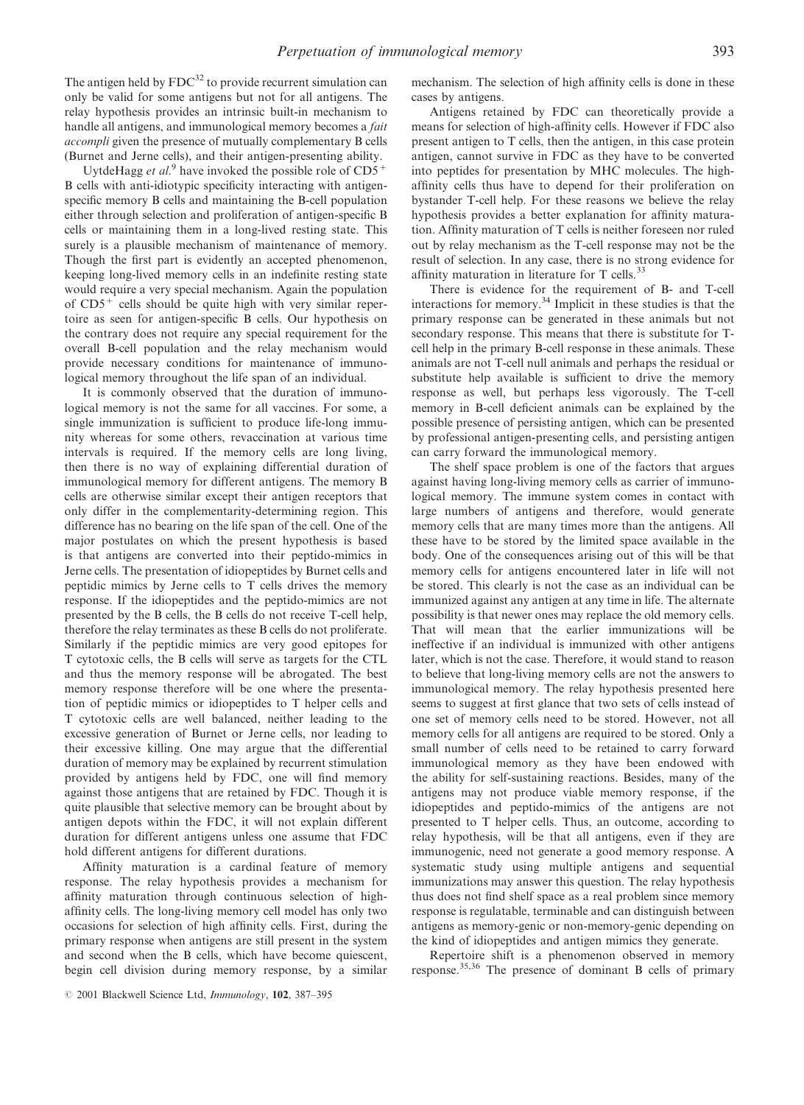The antigen held by  $FDC^{32}$  to provide recurrent simulation can only be valid for some antigens but not for all antigens. The relay hypothesis provides an intrinsic built-in mechanism to handle all antigens, and immunological memory becomes a fait accompli given the presence of mutually complementary B cells (Burnet and Jerne cells), and their antigen-presenting ability.

UytdeHagg et al.<sup>9</sup> have invoked the possible role of  $CD5^+$ B cells with anti-idiotypic specificity interacting with antigenspecific memory B cells and maintaining the B-cell population either through selection and proliferation of antigen-specific B cells or maintaining them in a long-lived resting state. This surely is a plausible mechanism of maintenance of memory. Though the first part is evidently an accepted phenomenon, keeping long-lived memory cells in an indefinite resting state would require a very special mechanism. Again the population of  $CD5<sup>+</sup>$  cells should be quite high with very similar repertoire as seen for antigen-specific B cells. Our hypothesis on the contrary does not require any special requirement for the overall B-cell population and the relay mechanism would provide necessary conditions for maintenance of immunological memory throughout the life span of an individual.

It is commonly observed that the duration of immunological memory is not the same for all vaccines. For some, a single immunization is sufficient to produce life-long immunity whereas for some others, revaccination at various time intervals is required. If the memory cells are long living, then there is no way of explaining differential duration of immunological memory for different antigens. The memory B cells are otherwise similar except their antigen receptors that only differ in the complementarity-determining region. This difference has no bearing on the life span of the cell. One of the major postulates on which the present hypothesis is based is that antigens are converted into their peptido-mimics in Jerne cells. The presentation of idiopeptides by Burnet cells and peptidic mimics by Jerne cells to T cells drives the memory response. If the idiopeptides and the peptido-mimics are not presented by the B cells, the B cells do not receive T-cell help, therefore the relay terminates as these B cells do not proliferate. Similarly if the peptidic mimics are very good epitopes for T cytotoxic cells, the B cells will serve as targets for the CTL and thus the memory response will be abrogated. The best memory response therefore will be one where the presentation of peptidic mimics or idiopeptides to T helper cells and T cytotoxic cells are well balanced, neither leading to the excessive generation of Burnet or Jerne cells, nor leading to their excessive killing. One may argue that the differential duration of memory may be explained by recurrent stimulation provided by antigens held by FDC, one will find memory against those antigens that are retained by FDC. Though it is quite plausible that selective memory can be brought about by antigen depots within the FDC, it will not explain different duration for different antigens unless one assume that FDC hold different antigens for different durations.

Affinity maturation is a cardinal feature of memory response. The relay hypothesis provides a mechanism for affinity maturation through continuous selection of highaffinity cells. The long-living memory cell model has only two occasions for selection of high affinity cells. First, during the primary response when antigens are still present in the system and second when the B cells, which have become quiescent, begin cell division during memory response, by a similar

mechanism. The selection of high affinity cells is done in these cases by antigens.

Antigens retained by FDC can theoretically provide a means for selection of high-affinity cells. However if FDC also present antigen to T cells, then the antigen, in this case protein antigen, cannot survive in FDC as they have to be converted into peptides for presentation by MHC molecules. The highaffinity cells thus have to depend for their proliferation on bystander T-cell help. For these reasons we believe the relay hypothesis provides a better explanation for affinity maturation. Affinity maturation of T cells is neither foreseen nor ruled out by relay mechanism as the T-cell response may not be the result of selection. In any case, there is no strong evidence for affinity maturation in literature for  $T$  cells.<sup>33</sup>

There is evidence for the requirement of B- and T-cell interactions for memory.<sup>34</sup> Implicit in these studies is that the primary response can be generated in these animals but not secondary response. This means that there is substitute for Tcell help in the primary B-cell response in these animals. These animals are not T-cell null animals and perhaps the residual or substitute help available is sufficient to drive the memory response as well, but perhaps less vigorously. The T-cell memory in B-cell deficient animals can be explained by the possible presence of persisting antigen, which can be presented by professional antigen-presenting cells, and persisting antigen can carry forward the immunological memory.

The shelf space problem is one of the factors that argues against having long-living memory cells as carrier of immunological memory. The immune system comes in contact with large numbers of antigens and therefore, would generate memory cells that are many times more than the antigens. All these have to be stored by the limited space available in the body. One of the consequences arising out of this will be that memory cells for antigens encountered later in life will not be stored. This clearly is not the case as an individual can be immunized against any antigen at any time in life. The alternate possibility is that newer ones may replace the old memory cells. That will mean that the earlier immunizations will be ineffective if an individual is immunized with other antigens later, which is not the case. Therefore, it would stand to reason to believe that long-living memory cells are not the answers to immunological memory. The relay hypothesis presented here seems to suggest at first glance that two sets of cells instead of one set of memory cells need to be stored. However, not all memory cells for all antigens are required to be stored. Only a small number of cells need to be retained to carry forward immunological memory as they have been endowed with the ability for self-sustaining reactions. Besides, many of the antigens may not produce viable memory response, if the idiopeptides and peptido-mimics of the antigens are not presented to T helper cells. Thus, an outcome, according to relay hypothesis, will be that all antigens, even if they are immunogenic, need not generate a good memory response. A systematic study using multiple antigens and sequential immunizations may answer this question. The relay hypothesis thus does not find shelf space as a real problem since memory response is regulatable, terminable and can distinguish between antigens as memory-genic or non-memory-genic depending on the kind of idiopeptides and antigen mimics they generate.

Repertoire shift is a phenomenon observed in memory response.35,36 The presence of dominant B cells of primary

 $© 2001 Blackwell Science Ltd, Immunology, 102, 387–395$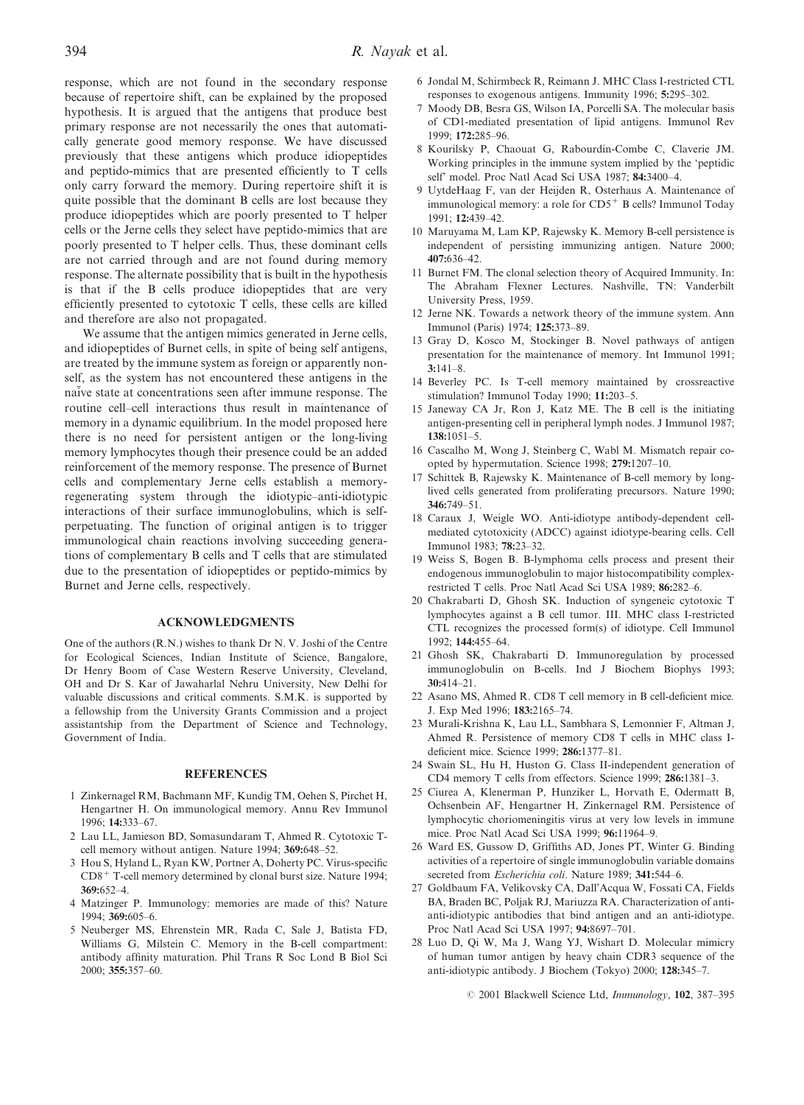response, which are not found in the secondary response because of repertoire shift, can be explained by the proposed hypothesis. It is argued that the antigens that produce best primary response are not necessarily the ones that automatically generate good memory response. We have discussed previously that these antigens which produce idiopeptides and peptido-mimics that are presented efficiently to  $T$  cells only carry forward the memory. During repertoire shift it is quite possible that the dominant B cells are lost because they produce idiopeptides which are poorly presented to T helper cells or the Jerne cells they select have peptido-mimics that are poorly presented to T helper cells. Thus, these dominant cells are not carried through and are not found during memory response. The alternate possibility that is built in the hypothesis is that if the B cells produce idiopeptides that are very efficiently presented to cytotoxic  $T$  cells, these cells are killed and therefore are also not propagated.

We assume that the antigen mimics generated in Jerne cells, and idiopeptides of Burnet cells, in spite of being self antigens, are treated by the immune system as foreign or apparently nonself, as the system has not encountered these antigens in the naive state at concentrations seen after immune response. The routine cell-cell interactions thus result in maintenance of memory in a dynamic equilibrium. In the model proposed here there is no need for persistent antigen or the long-living memory lymphocytes though their presence could be an added reinforcement of the memory response. The presence of Burnet cells and complementary Jerne cells establish a memoryregenerating system through the idiotypic-anti-idiotypic interactions of their surface immunoglobulins, which is selfperpetuating. The function of original antigen is to trigger immunological chain reactions involving succeeding generations of complementary B cells and T cells that are stimulated due to the presentation of idiopeptides or peptido-mimics by Burnet and Jerne cells, respectively.

#### ACKNOWLEDGMENTS

One of the authors (R.N.) wishes to thank Dr N. V. Joshi of the Centre for Ecological Sciences, Indian Institute of Science, Bangalore, Dr Henry Boom of Case Western Reserve University, Cleveland, OH and Dr S. Kar of Jawaharlal Nehru University, New Delhi for valuable discussions and critical comments. S.M.K. is supported by a fellowship from the University Grants Commission and a project assistantship from the Department of Science and Technology, Government of India.

#### REFERENCES

- 1 Zinkernagel RM, Bachmann MF, Kundig TM, Oehen S, Pirchet H, Hengartner H. On immunological memory. Annu Rev Immunol 1996: 14:333-67.
- 2 Lau LL, Jamieson BD, Somasundaram T, Ahmed R. Cytotoxic Tcell memory without antigen. Nature 1994; 369:648-52.
- 3 Hou S, Hyland L, Ryan KW, Portner A, Doherty PC. Virus-specific CD8<sup>+</sup> T-cell memory determined by clonal burst size. Nature 1994;  $369.652\_4$
- 4 Matzinger P. Immunology: memories are made of this? Nature 1994; 369:605-6.
- 5 Neuberger MS, Ehrenstein MR, Rada C, Sale J, Batista FD, Williams G, Milstein C. Memory in the B-cell compartment: antibody affinity maturation. Phil Trans R Soc Lond B Biol Sci 2000; 355:357-60.
- 6 Jondal M, Schirmbeck R, Reimann J. MHC Class I-restricted CTL responses to exogenous antigens. Immunity 1996; 5:295-302.
- 7 Moody DB, Besra GS, Wilson IA, Porcelli SA. The molecular basis of CD1-mediated presentation of lipid antigens. Immunol Rev 1999: 172:285-96.
- 8 Kourilsky P, Chaouat G, Rabourdin-Combe C, Claverie JM. Working principles in the immune system implied by the `peptidic self' model. Proc Natl Acad Sci USA 1987; 84:3400-4.
- 9 UytdeHaag F, van der Heijden R, Osterhaus A. Maintenance of immunological memory: a role for CD5<sup>+</sup> B cells? Immunol Today 1991; 12:439±42.
- 10 Maruyama M, Lam KP, Rajewsky K. Memory B-cell persistence is independent of persisting immunizing antigen. Nature 2000; 407:636±42.
- 11 Burnet FM. The clonal selection theory of Acquired Immunity. In: The Abraham Flexner Lectures. Nashville, TN: Vanderbilt University Press, 1959.
- 12 Jerne NK. Towards a network theory of the immune system. Ann Immunol (Paris) 1974; 125:373-89.
- 13 Gray D, Kosco M, Stockinger B. Novel pathways of antigen presentation for the maintenance of memory. Int Immunol 1991;  $3:141-8$ .
- 14 Beverley PC. Is T-cell memory maintained by crossreactive stimulation? Immunol Today 1990; 11:203-5.
- 15 Janeway CA Jr, Ron J, Katz ME. The B cell is the initiating antigen-presenting cell in peripheral lymph nodes. J Immunol 1987;  $138:1051-5.$
- 16 Cascalho M, Wong J, Steinberg C, Wabl M. Mismatch repair coopted by hypermutation. Science 1998;  $279:1207-10$ .
- 17 Schittek B, Rajewsky K. Maintenance of B-cell memory by longlived cells generated from proliferating precursors. Nature 1990; 346:749±51.
- 18 Caraux J, Weigle WO. Anti-idiotype antibody-dependent cellmediated cytotoxicity (ADCC) against idiotype-bearing cells. Cell Immunol 1983: **78:**23-32.
- 19 Weiss S, Bogen B. B-lymphoma cells process and present their endogenous immunoglobulin to major histocompatibility complexrestricted T cells. Proc Natl Acad Sci USA 1989: 86:282-6.
- 20 Chakrabarti D, Ghosh SK. Induction of syngeneic cytotoxic T lymphocytes against a B cell tumor. III. MHC class I-restricted CTL recognizes the processed form(s) of idiotype. Cell Immunol 1992; 144:455-64.
- 21 Ghosh SK, Chakrabarti D. Immunoregulation by processed immunoglobulin on B-cells. Ind J Biochem Biophys 1993;  $30:414-21$ .
- 22 Asano MS, Ahmed R. CD8 T cell memory in B cell-deficient mice. J. Exp Med 1996; 183:2165-74.
- 23 Murali-Krishna K, Lau LL, Sambhara S, Lemonnier F, Altman J, Ahmed R. Persistence of memory CD8 T cells in MHC class Ideficient mice. Science 1999; 286:1377-81.
- 24 Swain SL, Hu H, Huston G. Class II-independent generation of CD4 memory T cells from effectors. Science  $1999 \cdot 286:1381-3$ .
- 25 Ciurea A, Klenerman P, Hunziker L, Horvath E, Odermatt B, Ochsenbein AF, Hengartner H, Zinkernagel RM. Persistence of lymphocytic choriomeningitis virus at very low levels in immune mice. Proc Natl Acad Sci USA 1999; 96:11964-9.
- 26 Ward ES, Gussow D, Griffiths AD, Jones PT, Winter G. Binding activities of a repertoire of single immunoglobulin variable domains secreted from Escherichia coli. Nature 1989; 341:544-6.
- 27 Goldbaum FA, Velikovsky CA, Dall'Acqua W, Fossati CA, Fields BA, Braden BC, Poljak RJ, Mariuzza RA. Characterization of antianti-idiotypic antibodies that bind antigen and an anti-idiotype. Proc Natl Acad Sci USA 1997; 94:8697-701.
- 28 Luo D, Qi W, Ma J, Wang YJ, Wishart D. Molecular mimicry of human tumor antigen by heavy chain CDR3 sequence of the anti-idiotypic antibody. J Biochem (Tokyo) 2000; 128:345-7.